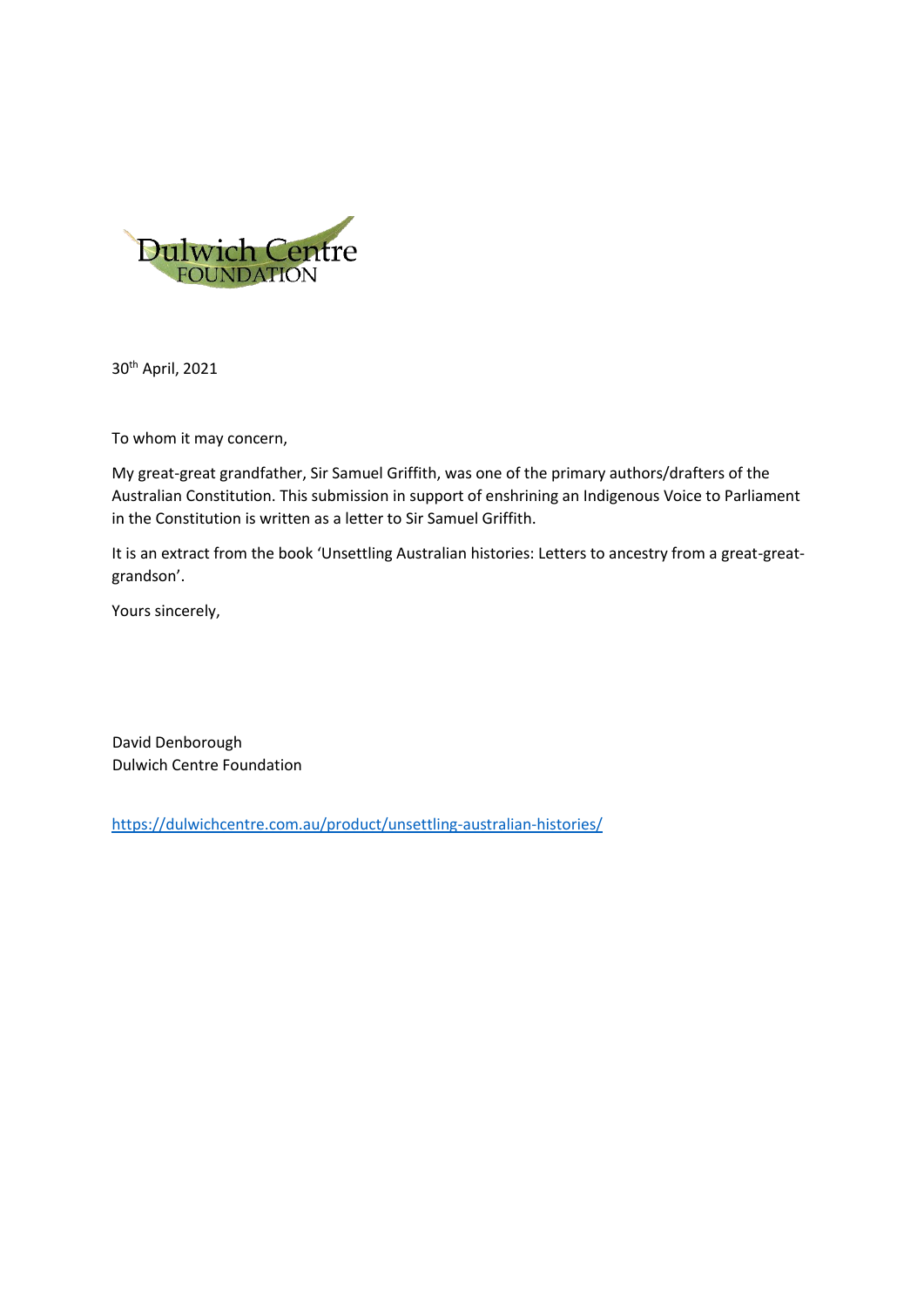

30th April, 2021

To whom it may concern,

My great-great grandfather, Sir Samuel Griffith, was one of the primary authors/drafters of the Australian Constitution. This submission in support of enshrining an Indigenous Voice to Parliament in the Constitution is written as a letter to Sir Samuel Griffith.

It is an extract from the book 'Unsettling Australian histories: Letters to ancestry from a great-greatgrandson'.

Yours sincerely,

David Denborough Dulwich Centre Foundation

<https://dulwichcentre.com.au/product/unsettling-australian-histories/>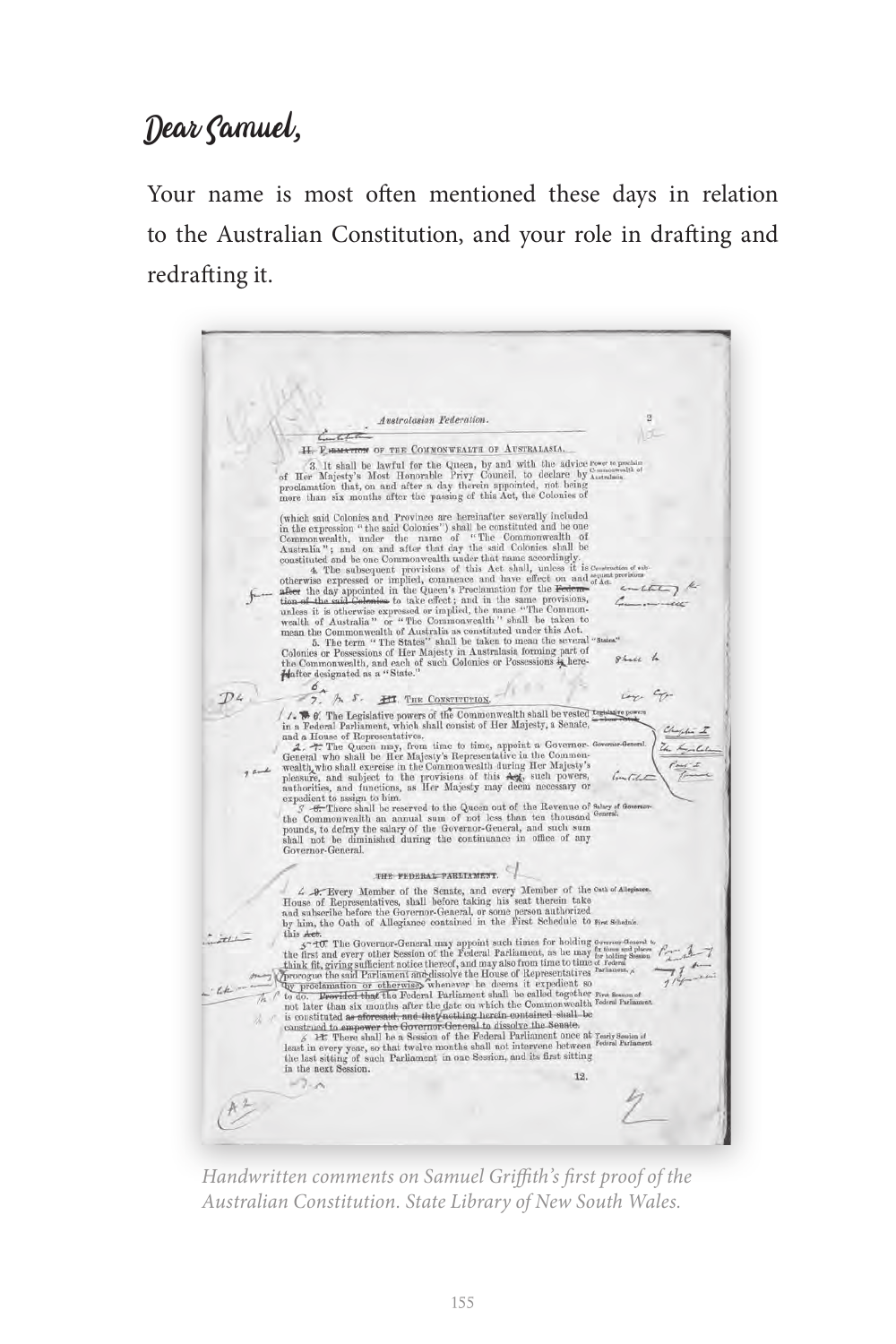## Dear Samuel,

Your name is most often mentioned these days in relation to the Australian Constitution, and your role in drafting and redrafting it.

Australasian Federation Cath H. F. RESERVED OF THE COMMONWEALTH OF AUSTRALASIA  $\frac{1}{2}$ . It shall be lawful for the Queen, by and with the advice by Gouring to the Majesty's Most Honorable Privy Council, to declare by proclamination that, on and after a day therein appointed, not being proclaminati (which said Colonies and Province are hereinafter severally included in the expression "the said Colonies") shall be constituted and be one and after that day the solution of Commonwealth, it can one and after that day th (which said Colonies and Province are hereinafter severally included  $-ta\eta k$ u shall to  $\frac{6}{7}$   $\wedge$   $\wedge$   $\frac{111}{100}$ . The CONSTITUTION. ing cy -18  $\mathcal{D}$ Chapter I  $\overline{\mathcal{U}}_{\text{in}} \stackrel{\text{d}}{\longleftarrow} \stackrel{\text{d}}{\longleftarrow} \mathcal{L}_{\text{out}}$  $\frac{1}{2}$ Governor-General. THE PEDERAL PARLIAMENT. For Friends, and every Member of the oat of Allegies.<br>
House of Representatives, shall before taking his seat therein take<br>  $\frac{1}{2}$  and subscribe before the Governor-General, or some preson authorized<br>
by him, the Oath Fig. 2.1 The Governor-General may appoint such times for bolding deserved<br>fig.  $S-RT$ . The Governor-General may appoint such times for bolding deserved<br>the first and every other Session of the Federal Parliam is the may al  $-315$  $1 - 7$  $-7 - 8$  $A^2$ 

*Handwritten comments on Samuel Griffith's first proof of the Australian Constitution. State Library of New South Wales.*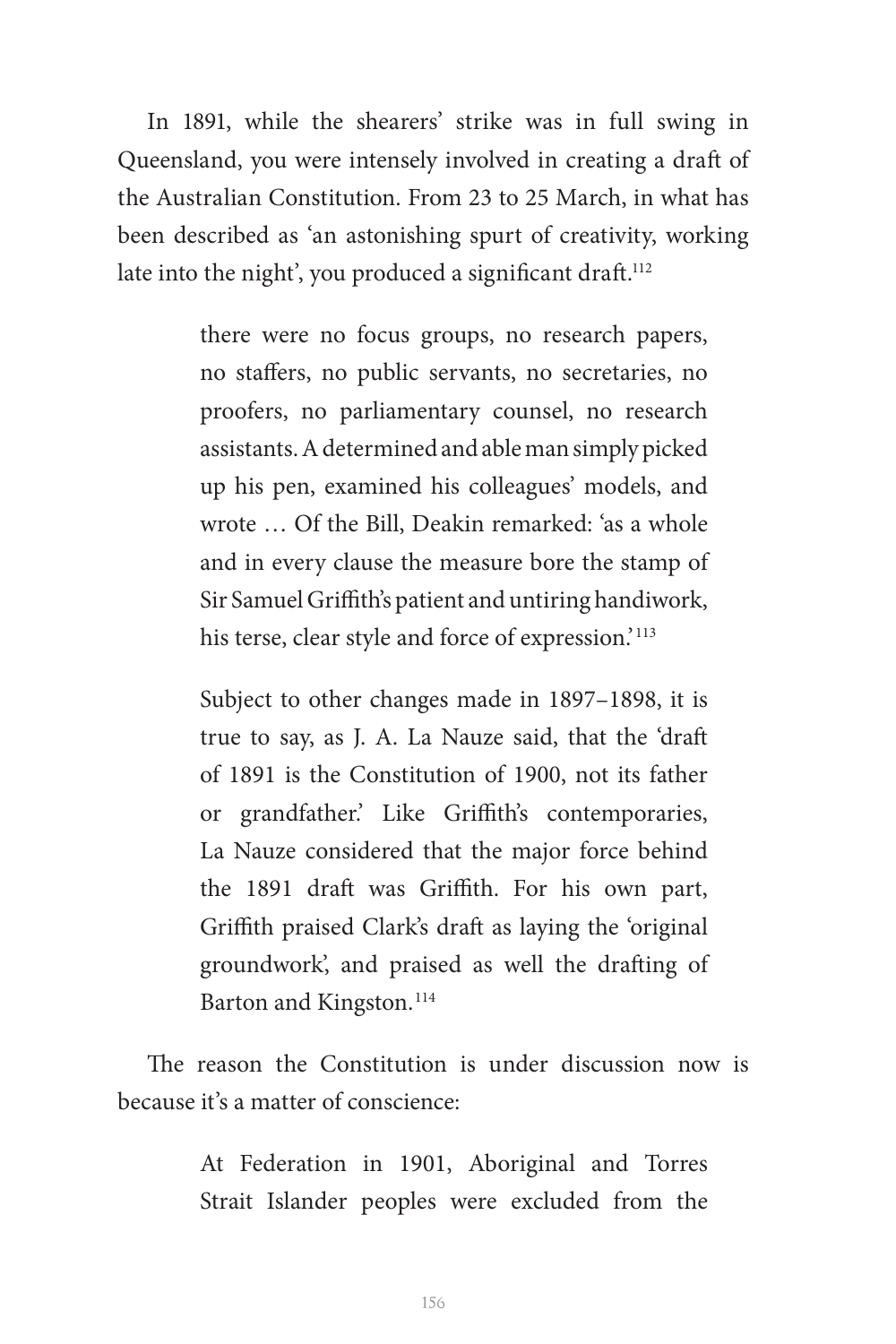In 1891, while the shearers' strike was in full swing in Queensland, you were intensely involved in creating a draft of the Australian Constitution. From 23 to 25 March, in what has been described as 'an astonishing spurt of creativity, working late into the night', you produced a significant draft.<sup>112</sup>

> there were no focus groups, no research papers, no staffers, no public servants, no secretaries, no proofers, no parliamentary counsel, no research assistants. A determined and able man simply picked up his pen, examined his colleagues' models, and wrote … Of the Bill, Deakin remarked: 'as a whole and in every clause the measure bore the stamp of Sir Samuel Griffith's patient and untiring handiwork, his terse, clear style and force of expression.<sup>'113</sup>

> Barton and Kingston.<sup>114</sup> Subject to other changes made in 1897–1898, it is true to say, as J. A. La Nauze said, that the 'draft of 1891 is the Constitution of 1900, not its father or grandfather.' Like Griffith's contemporaries, La Nauze considered that the major force behind the 1891 draft was Griffith. For his own part, Griffith praised Clark's draft as laying the 'original groundwork', and praised as well the drafting of

The reason the Constitution is under discussion now is because it's a matter of conscience:

> At Federation in 1901, Aboriginal and Torres Strait Islander peoples were excluded from the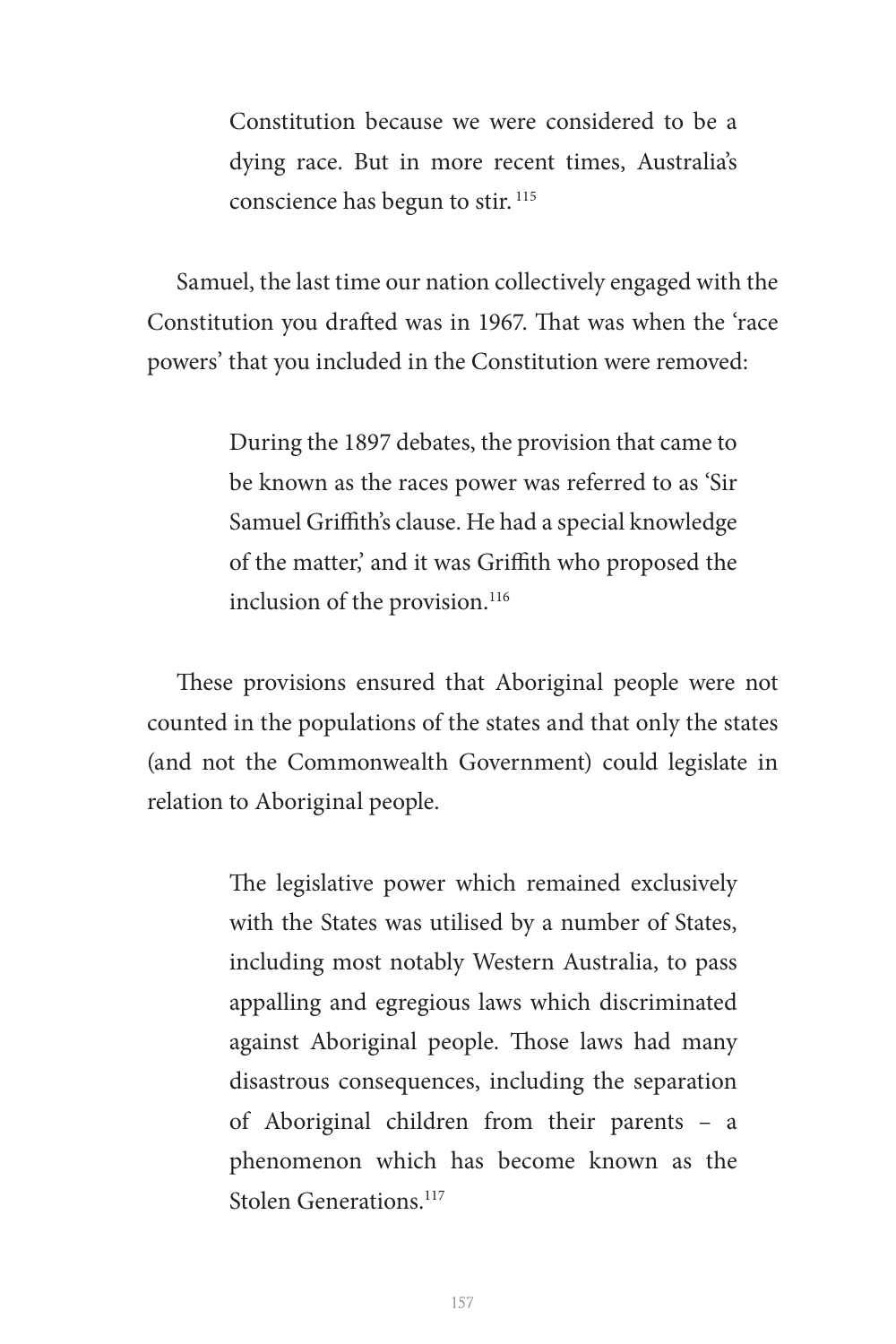Constitution because we were considered to be a dying race. But in more recent times, Australia's conscience has begun to stir. 115

Samuel, the last time our nation collectively engaged with the Constitution you drafted was in 1967. That was when the 'race powers' that you included in the Constitution were removed:

> inclusion of the provision.<sup>116</sup> During the 1897 debates, the provision that came to be known as the races power was referred to as 'Sir Samuel Griffith's clause. He had a special knowledge of the matter,' and it was Griffith who proposed the

These provisions ensured that Aboriginal people were not counted in the populations of the states and that only the states (and not the Commonwealth Government) could legislate in relation to Aboriginal people.

> The legislative power which remained exclusively with the States was utilised by a number of States, including most notably Western Australia, to pass appalling and egregious laws which discriminated against Aboriginal people. Those laws had many disastrous consequences, including the separation of Aboriginal children from their parents – a phenomenon which has become known as the Stolen Generations.<sup>117</sup>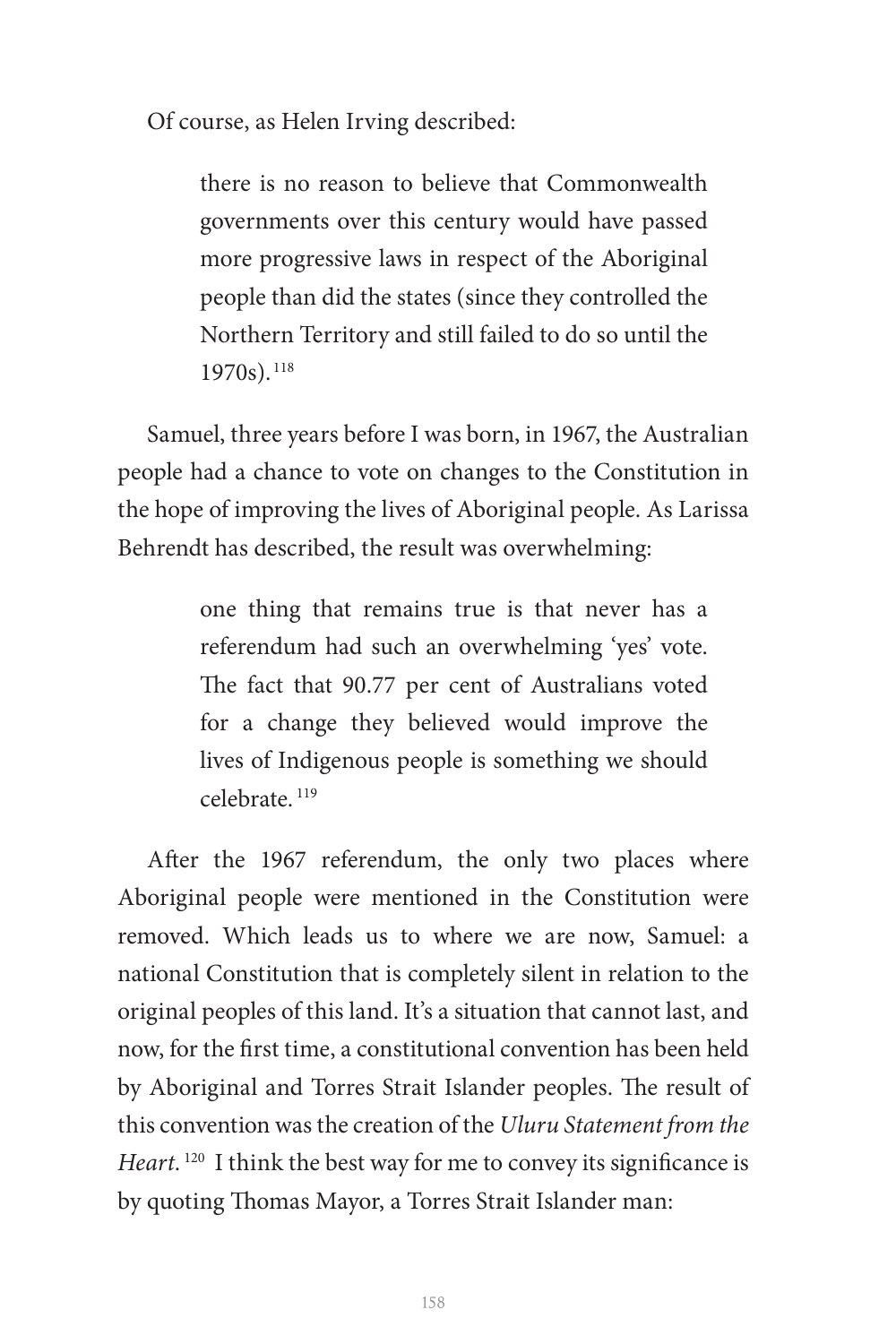Of course, as Helen Irving described:

 1970s). <sup>118</sup> there is no reason to believe that Commonwealth governments over this century would have passed more progressive laws in respect of the Aboriginal people than did the states (since they controlled the Northern Territory and still failed to do so until the

Samuel, three years before I was born, in 1967, the Australian people had a chance to vote on changes to the Constitution in the hope of improving the lives of Aboriginal people. As Larissa Behrendt has described, the result was overwhelming:

> celebrate.<sup>119</sup> one thing that remains true is that never has a referendum had such an overwhelming 'yes' vote. The fact that 90.77 per cent of Australians voted for a change they believed would improve the lives of Indigenous people is something we should

After the 1967 referendum, the only two places where Aboriginal people were mentioned in the Constitution were removed. Which leads us to where we are now, Samuel: a national Constitution that is completely silent in relation to the original peoples of this land. It's a situation that cannot last, and now, for the first time, a constitutional convention has been held by Aboriginal and Torres Strait Islander peoples. The result of this convention was the creation of the *Uluru Statement from the Heart*.<sup>120</sup> I think the best way for me to convey its significance is by quoting Thomas Mayor, a Torres Strait Islander man: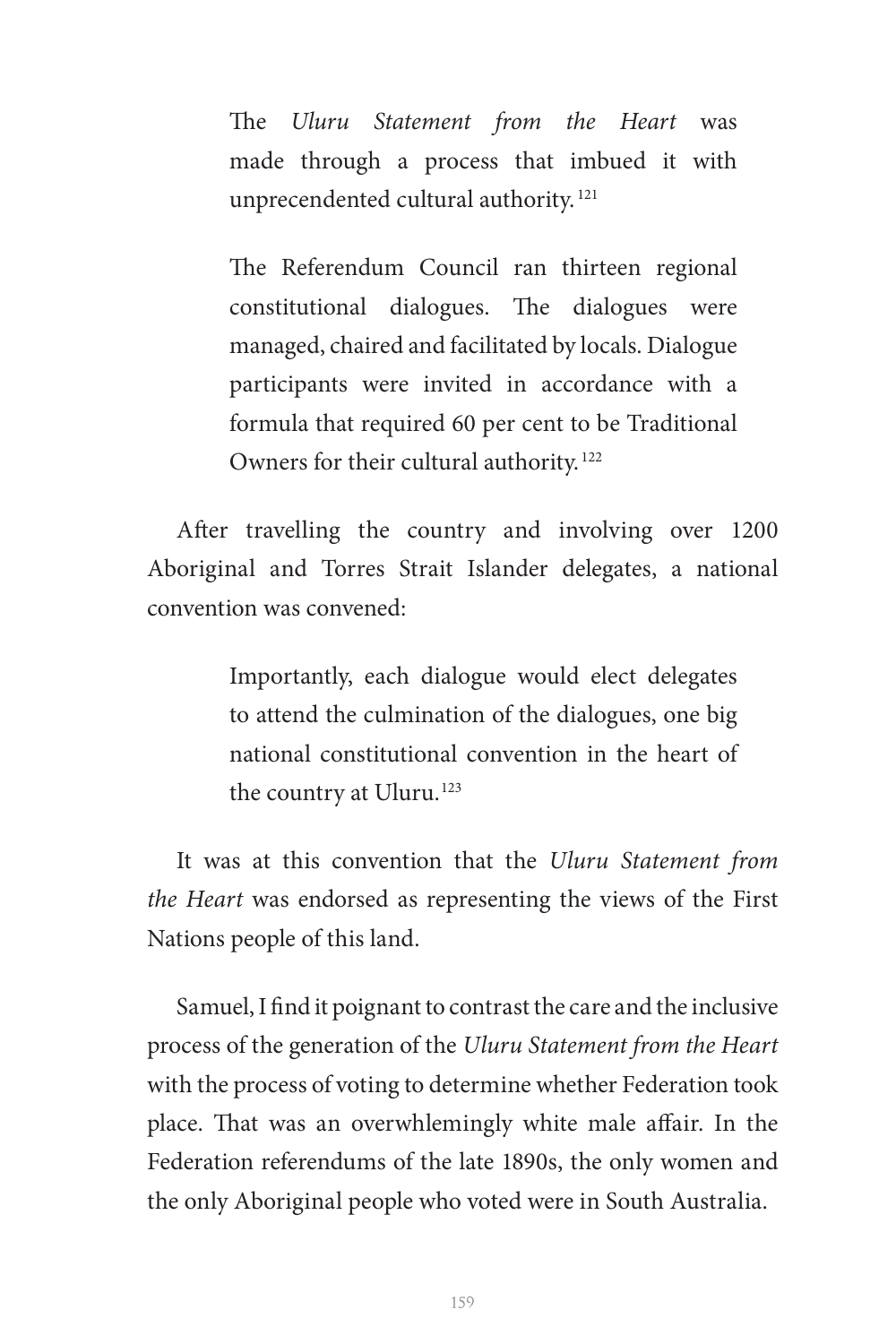unprecendented cultural authority.<sup>121</sup> The *Uluru Statement from the Heart* was made through a process that imbued it with

Owners for their cultural authority.<sup>122</sup> The Referendum Council ran thirteen regional constitutional dialogues. The dialogues were managed, chaired and facilitated by locals. Dialogue participants were invited in accordance with a formula that required 60 per cent to be Traditional

After travelling the country and involving over 1200 Aboriginal and Torres Strait Islander delegates, a national convention was convened:

> the country at Uluru.<sup>123</sup> Importantly, each dialogue would elect delegates to attend the culmination of the dialogues, one big national constitutional convention in the heart of

It was at this convention that the *Uluru Statement from the Heart* was endorsed as representing the views of the First Nations people of this land.

Samuel, I find it poignant to contrast the care and the inclusive process of the generation of the *Uluru Statement from the Heart*  with the process of voting to determine whether Federation took place. That was an overwhlemingly white male affair. In the Federation referendums of the late 1890s, the only women and the only Aboriginal people who voted were in South Australia.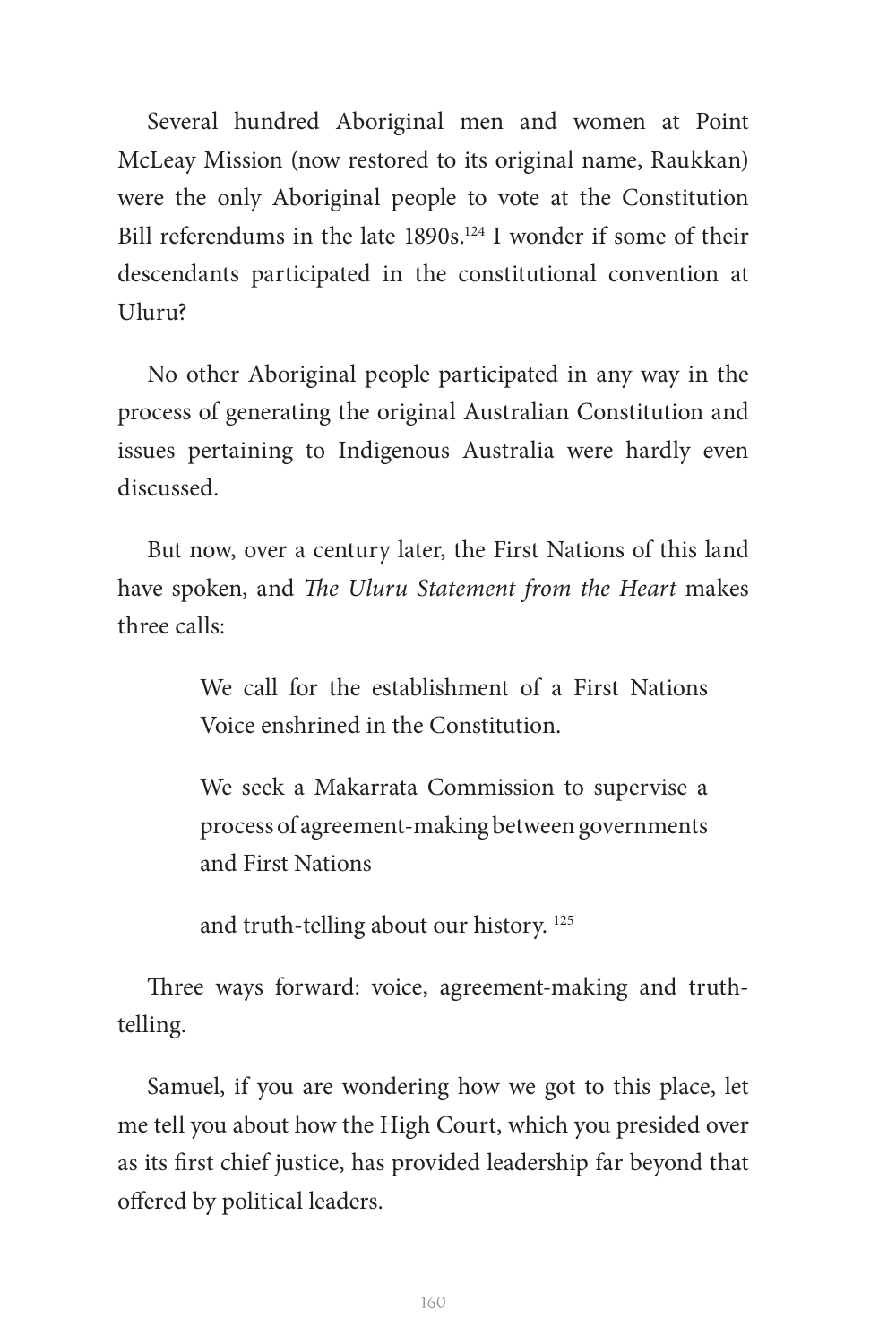Several hundred Aboriginal men and women at Point McLeay Mission (now restored to its original name, Raukkan) were the only Aboriginal people to vote at the Constitution Bill referendums in the late 1890s.<sup>124</sup> I wonder if some of their descendants participated in the constitutional convention at Uluru?

No other Aboriginal people participated in any way in the process of generating the original Australian Constitution and issues pertaining to Indigenous Australia were hardly even discussed.

 have spoken, and *The Uluru Statement from the Heart* makes But now, over a century later, the First Nations of this land three calls:

> We call for the establishment of a First Nations Voice enshrined in the Constitution.

> We seek a Makarrata Commission to supervise a process of agreement-making between governments and First Nations

and truth-telling about our history. 125

Three ways forward: voice, agreement-making and truthtelling.

Samuel, if you are wondering how we got to this place, let me tell you about how the High Court, which you presided over as its first chief justice, has provided leadership far beyond that offered by political leaders.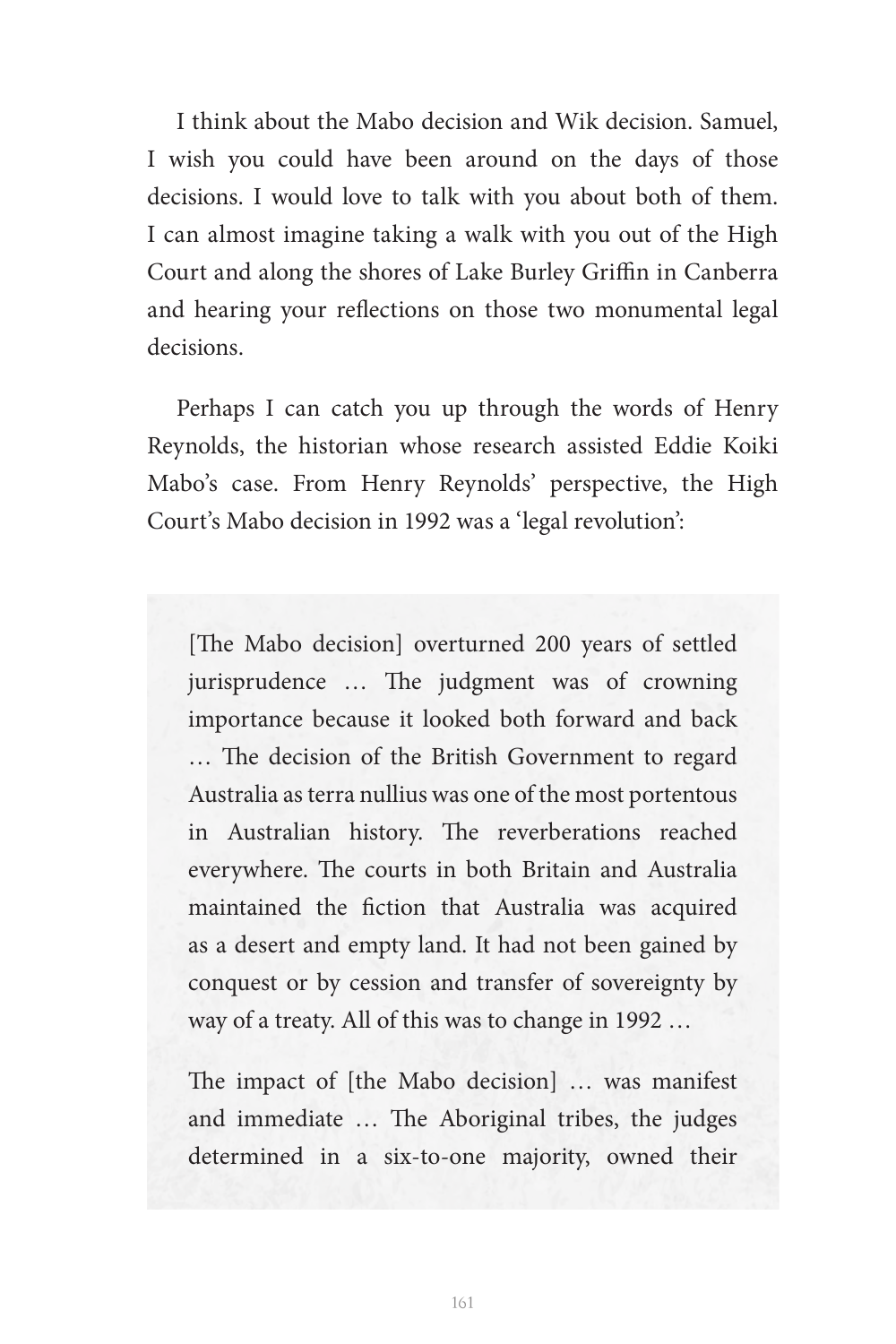I think about the Mabo decision and Wik decision. Samuel, I wish you could have been around on the days of those decisions. I would love to talk with you about both of them. I can almost imagine taking a walk with you out of the High Court and along the shores of Lake Burley Griffin in Canberra and hearing your reflections on those two monumental legal decisions.

Perhaps I can catch you up through the words of Henry Reynolds, the historian whose research assisted Eddie Koiki Mabo's case. From Henry Reynolds' perspective, the High Court's Mabo decision in 1992 was a 'legal revolution':

[The Mabo decision] overturned 200 years of settled jurisprudence … The judgment was of crowning importance because it looked both forward and back … The decision of the British Government to regard Australia as terra nullius was one of the most portentous in Australian history. The reverberations reached everywhere. The courts in both Britain and Australia maintained the fiction that Australia was acquired as a desert and empty land. It had not been gained by conquest or by cession and transfer of sovereignty by way of a treaty. All of this was to change in 1992 …

The impact of [the Mabo decision] … was manifest and immediate … The Aboriginal tribes, the judges determined in a six-to-one majority, owned their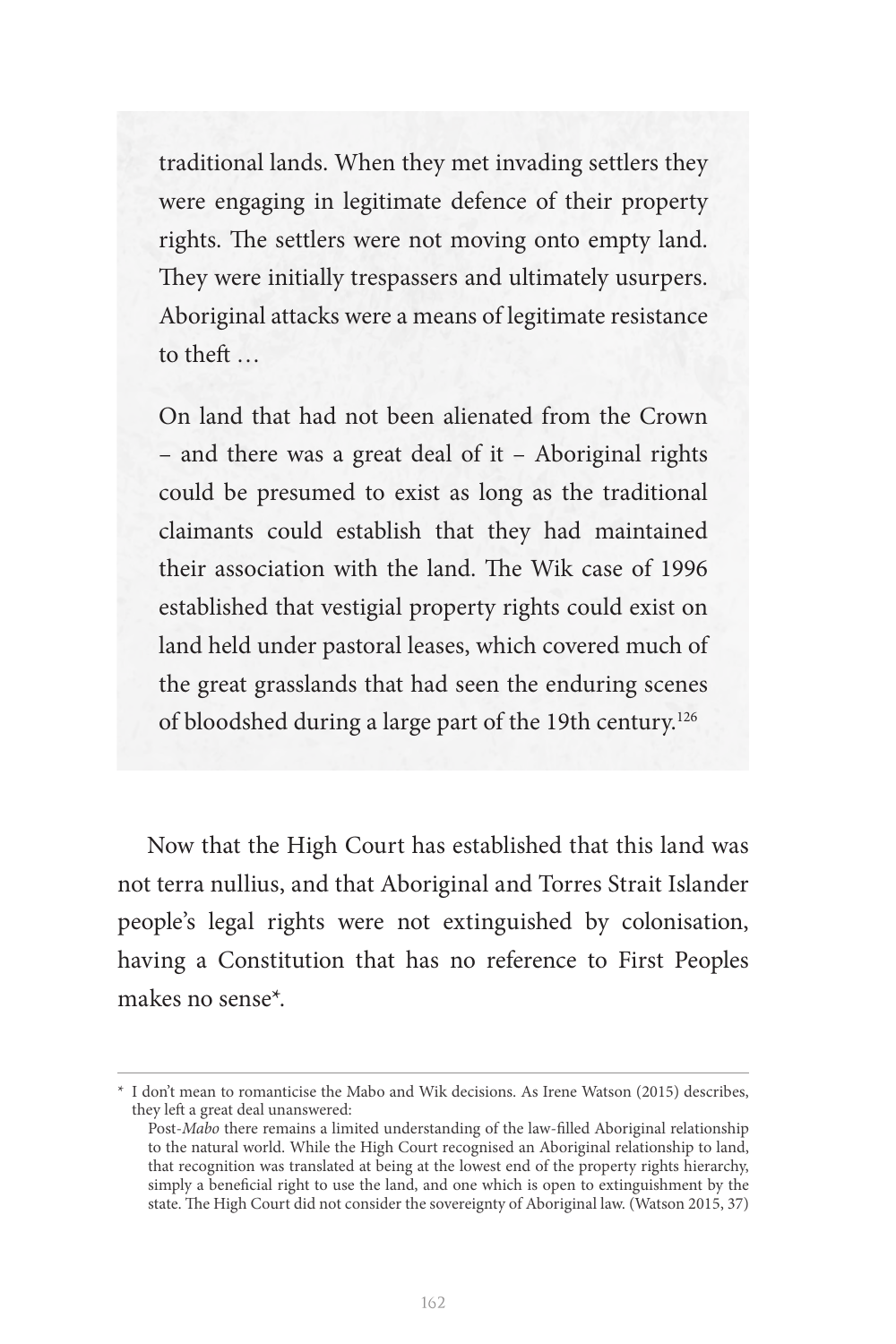traditional lands. When they met invading settlers they were engaging in legitimate defence of their property rights. The settlers were not moving onto empty land. They were initially trespassers and ultimately usurpers. Aboriginal attacks were a means of legitimate resistance to theft …

On land that had not been alienated from the Crown – and there was a great deal of it – Aboriginal rights could be presumed to exist as long as the traditional claimants could establish that they had maintained their association with the land. The Wik case of 1996 established that vestigial property rights could exist on land held under pastoral leases, which covered much of the great grasslands that had seen the enduring scenes of bloodshed during a large part of the 19th century.126

Now that the High Court has established that this land was not terra nullius, and that Aboriginal and Torres Strait Islander people's legal rights were not extinguished by colonisation, having a Constitution that has no reference to First Peoples makes no sense\*.

 \* I don't mean to romanticise the Mabo and Wik decisions. As Irene Watson (2015) describes, they left a great deal unanswered:

Post-*Mabo* there remains a limited understanding of the law-filled Aboriginal relationship to the natural world. While the High Court recognised an Aboriginal relationship to land, that recognition was translated at being at the lowest end of the property rights hierarchy, simply a beneficial right to use the land, and one which is open to extinguishment by the state. The High Court did not consider the sovereignty of Aboriginal law. (Watson 2015, 37)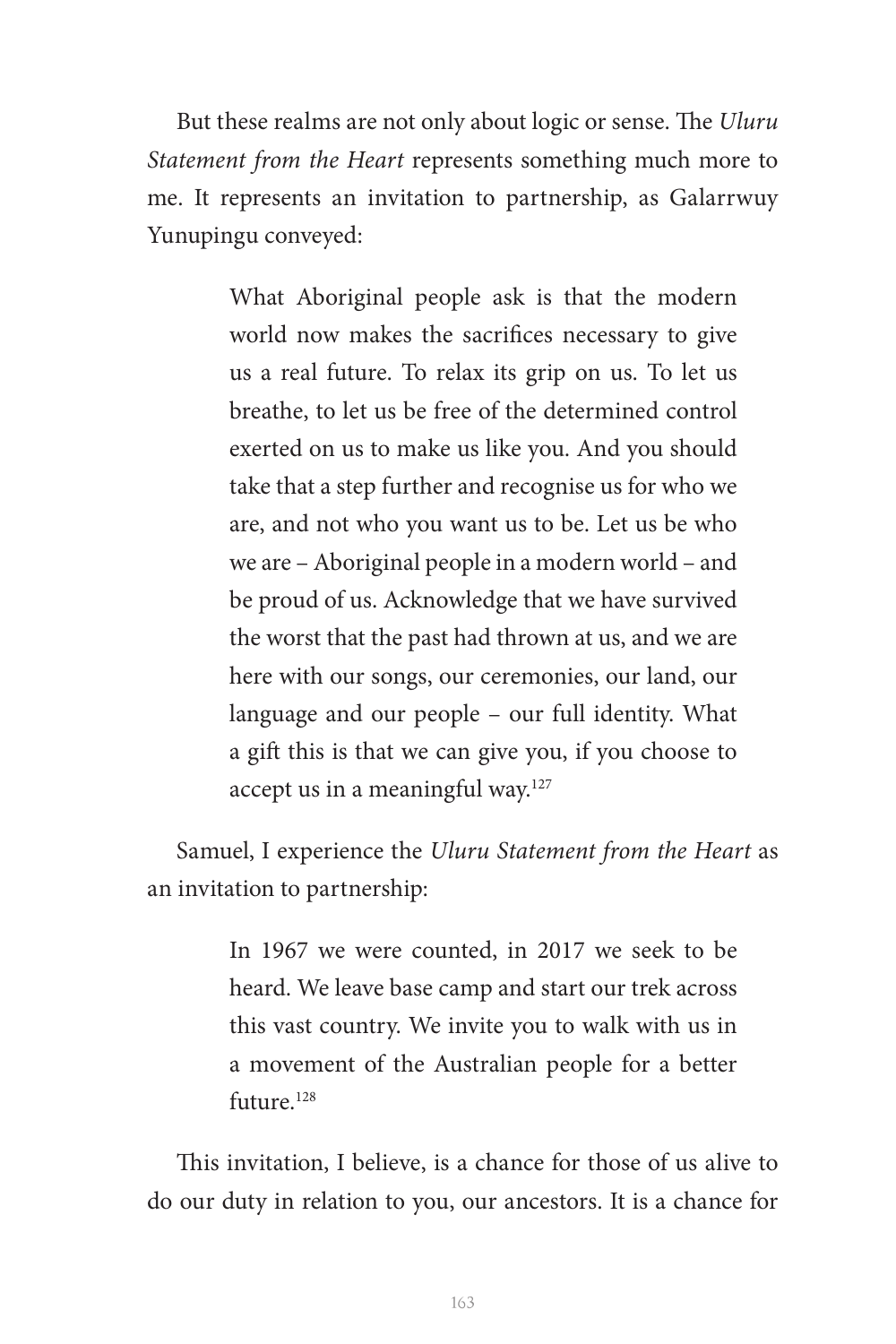But these realms are not only about logic or sense. The *Uluru Statement from the Heart* represents something much more to me. It represents an invitation to partnership, as Galarrwuy Yunupingu conveyed:

> accept us in a meaningful way.<sup>127</sup> What Aboriginal people ask is that the modern world now makes the sacrifices necessary to give us a real future. To relax its grip on us. To let us breathe, to let us be free of the determined control exerted on us to make us like you. And you should take that a step further and recognise us for who we are, and not who you want us to be. Let us be who we are – Aboriginal people in a modern world – and be proud of us. Acknowledge that we have survived the worst that the past had thrown at us, and we are here with our songs, our ceremonies, our land, our language and our people – our full identity. What a gift this is that we can give you, if you choose to

Samuel, I experience the *Uluru Statement from the Heart* as an invitation to partnership:

> In 1967 we were counted, in 2017 we seek to be heard. We leave base camp and start our trek across this vast country. We invite you to walk with us in a movement of the Australian people for a better future.<sup>128</sup>

This invitation, I believe, is a chance for those of us alive to do our duty in relation to you, our ancestors. It is a chance for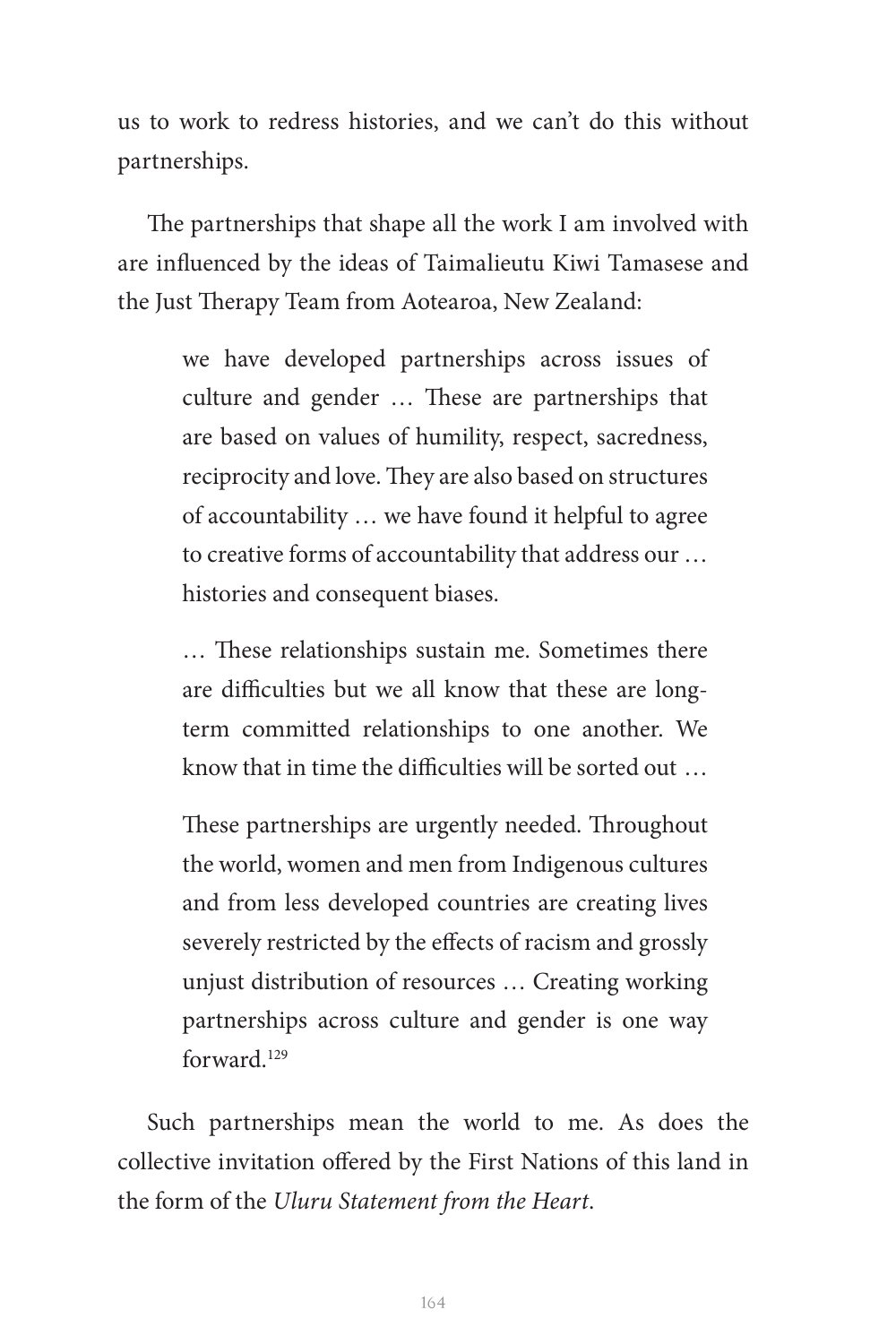us to work to redress histories, and we can't do this without partnerships.

The partnerships that shape all the work I am involved with are influenced by the ideas of Taimalieutu Kiwi Tamasese and the Just Therapy Team from Aotearoa, New Zealand:

> we have developed partnerships across issues of culture and gender … These are partnerships that are based on values of humility, respect, sacredness, reciprocity and love. They are also based on structures of accountability … we have found it helpful to agree to creative forms of accountability that address our … histories and consequent biases.

> … These relationships sustain me. Sometimes there are difficulties but we all know that these are longterm committed relationships to one another. We know that in time the difficulties will be sorted out …

> forward.129 These partnerships are urgently needed. Throughout the world, women and men from Indigenous cultures and from less developed countries are creating lives severely restricted by the effects of racism and grossly unjust distribution of resources … Creating working partnerships across culture and gender is one way

Such partnerships mean the world to me. As does the collective invitation offered by the First Nations of this land in the form of the *Uluru Statement from the Heart*.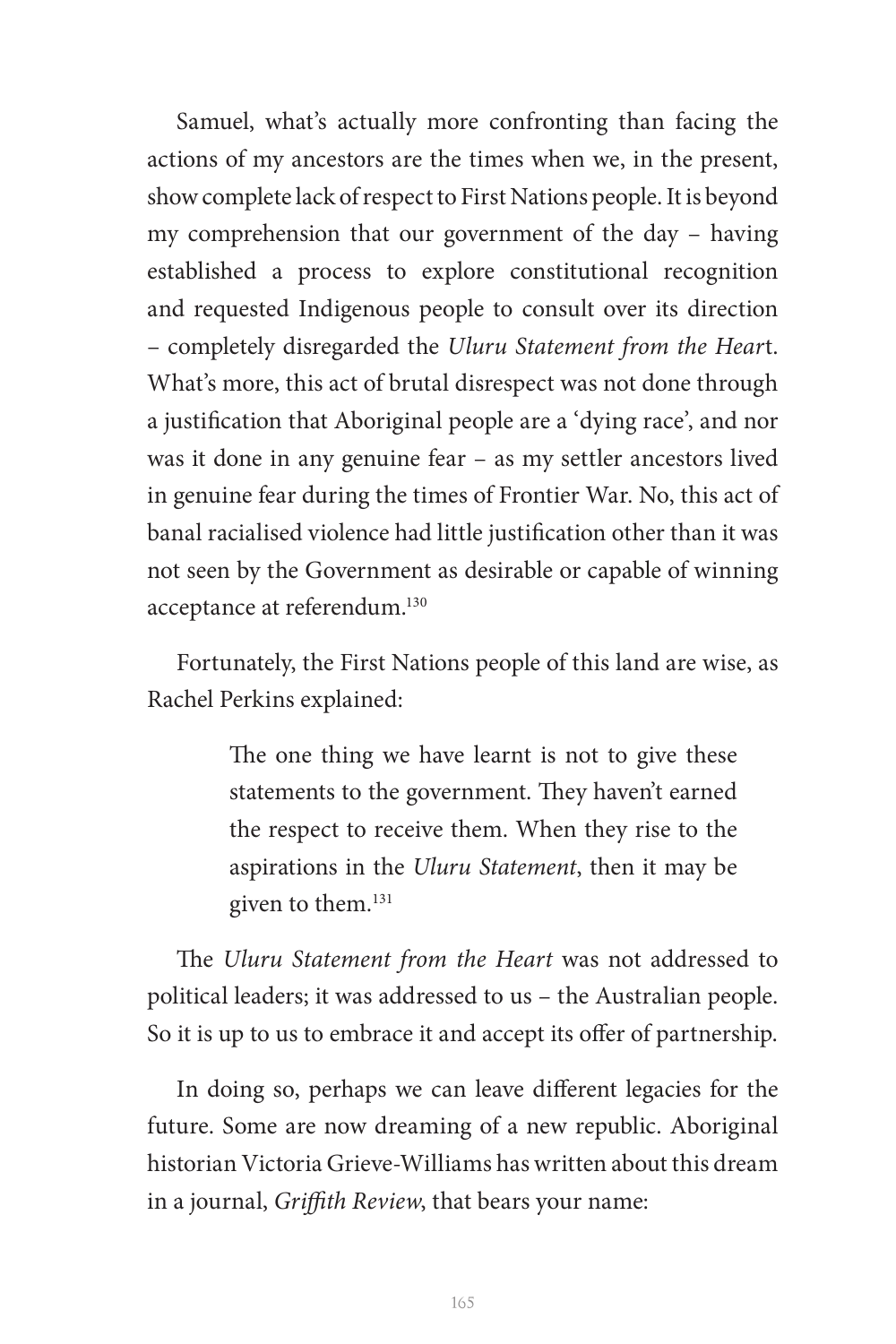acceptance at referendum.<sup>130</sup> Samuel, what's actually more confronting than facing the actions of my ancestors are the times when we, in the present, show complete lack of respect to First Nations people. It is beyond my comprehension that our government of the day – having established a process to explore constitutional recognition and requested Indigenous people to consult over its direction – completely disregarded the *Uluru Statement from the Hear*t. What's more, this act of brutal disrespect was not done through a justification that Aboriginal people are a 'dying race', and nor was it done in any genuine fear – as my settler ancestors lived in genuine fear during the times of Frontier War. No, this act of banal racialised violence had little justification other than it was not seen by the Government as desirable or capable of winning

Fortunately, the First Nations people of this land are wise, as Rachel Perkins explained:

> The one thing we have learnt is not to give these statements to the government. They haven't earned the respect to receive them. When they rise to the aspirations in the *Uluru Statement*, then it may be given to them.<sup>131</sup>

The *Uluru Statement from the Heart* was not addressed to political leaders; it was addressed to us – the Australian people. So it is up to us to embrace it and accept its offer of partnership.

In doing so, perhaps we can leave different legacies for the future. Some are now dreaming of a new republic. Aboriginal historian Victoria Grieve-Williams has written about this dream in a journal, *Griffith Review*, that bears your name: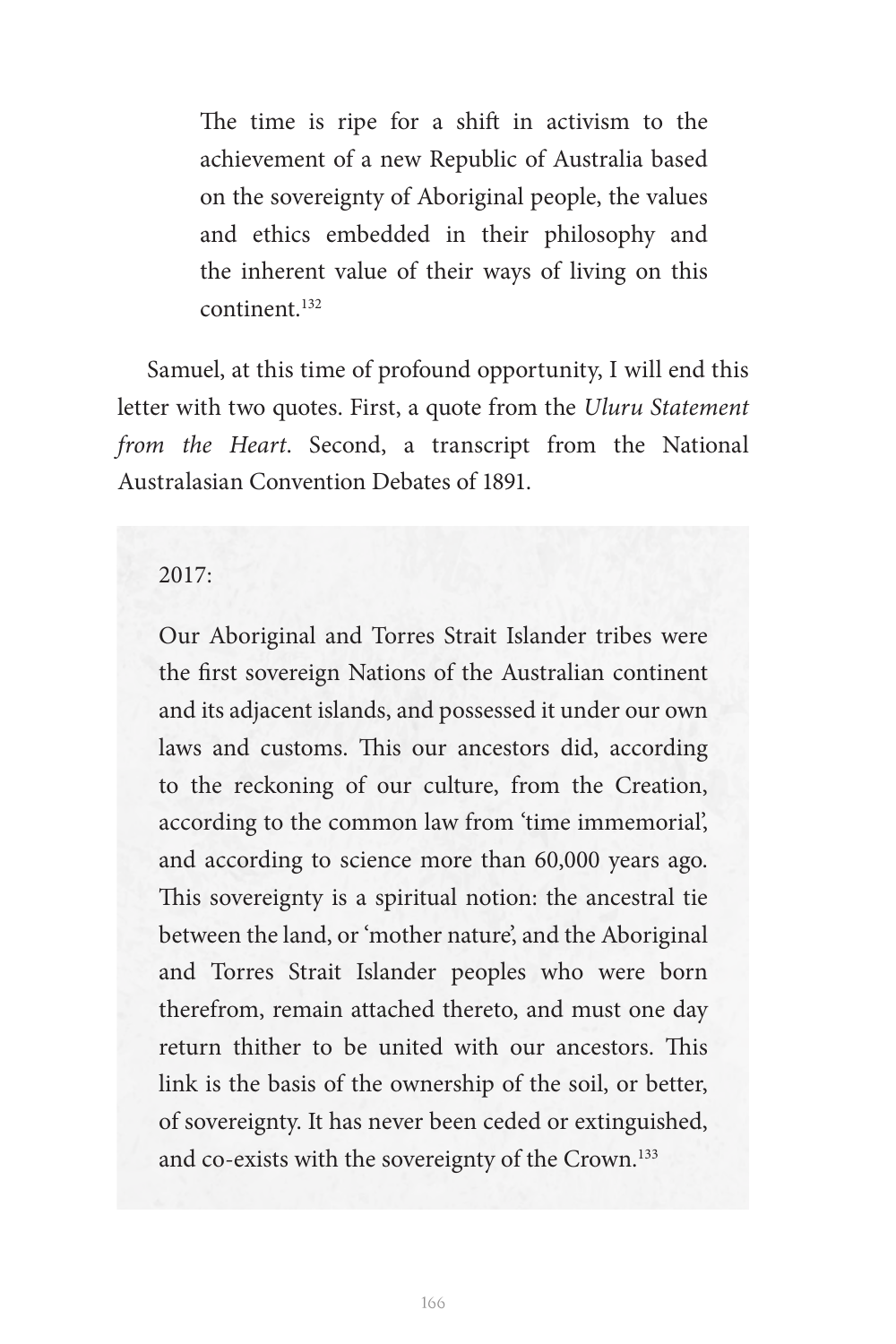continent.132 The time is ripe for a shift in activism to the achievement of a new Republic of Australia based on the sovereignty of Aboriginal people, the values and ethics embedded in their philosophy and the inherent value of their ways of living on this

Samuel, at this time of profound opportunity, I will end this letter with two quotes. First, a quote from the *Uluru Statement from the Heart*. Second, a transcript from the National Australasian Convention Debates of 1891.

## 2017:

Our Aboriginal and Torres Strait Islander tribes were the first sovereign Nations of the Australian continent and its adjacent islands, and possessed it under our own laws and customs. This our ancestors did, according to the reckoning of our culture, from the Creation, according to the common law from 'time immemorial', and according to science more than 60,000 years ago. This sovereignty is a spiritual notion: the ancestral tie between the land, or 'mother nature', and the Aboriginal and Torres Strait Islander peoples who were born therefrom, remain attached thereto, and must one day return thither to be united with our ancestors. This link is the basis of the ownership of the soil, or better, of sovereignty. It has never been ceded or extinguished, and co-exists with the sovereignty of the Crown.133